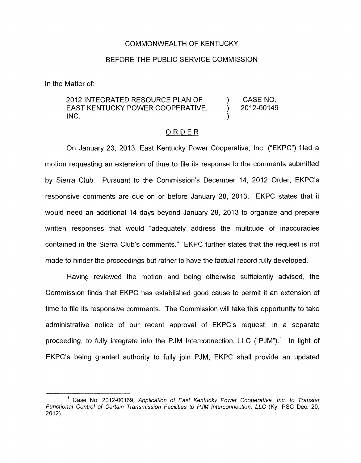## COMMONWEALTH OF KENTUCKY

## BEFORE THE PUBLIC SERVICE COMMISSION

In the Matter of:

## 2012 INTEGRATED RESOURCE PLAN OF ) CASENO. EAST KENTUCKY POWER COOPERATIVE, 2012-00149  $INC.$  )

## ORDER

On January 23, 2013, East Kentucky Power Cooperative, Inc. ("EKPC") filed a motion requesting an extension of time to file its response to the comments submitted by Sierra Club. Pursuant to the Commission's December 14, 2012 Order, EKPC's responsive comments are due on or before January 28, 2013. EKPC states that it would need an additional 14 days beyond January 28, 2013 to organize and prepare written responses that would "adequately address the multitude of inaccuracies contained in the Sierra Club's comments." EKPC further states that the request is not made to hinder the proceedings but rather to have the factual record fully developed.

Having reviewed the motion and being otherwise sufficiently advised, the Commission finds that EKPC has established good cause to permit it an extension of time to file its responsive comments. The Commission will take this opportunity to take administrative notice of our recent approval of EKPC's request, in a separate proceeding, to fully integrate into the PJM Interconnection, LLC ("PJM").<sup>1</sup> In light of EKPC's being granted authority to fully join PJM, EKPC shall provide an updated

<sup>&</sup>lt;sup>1</sup> Case No. 2012-00169, Application of East Kentucky Power Cooperative, Inc. to Transfer *Functional Control of Certain Transmission Facilities to PJM Interconnection, LLC* (Ky. **PSC** Dec. 20, 2012).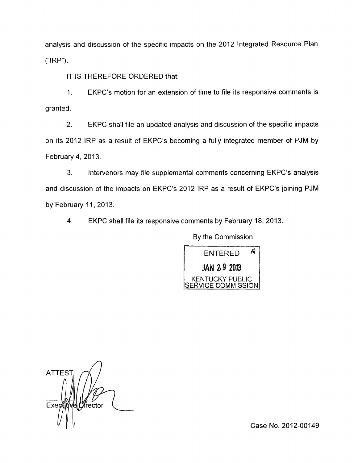analysis and discussion of the specific impacts on the 2012 Integrated Resource Plan ("IRP").

IT IS THEREFORE ORDERED that:

I. EKPC's motion for an extension of time to file its responsive comments is granted.

2. EKPC shall file an updated analysis and discussion of the specific impacts on its 2012 IRP as a result of EKPC's becoming a fully integrated member of PJM by February 4, 2013.

**3.** Intervenors may file supplemental comments concerning EKPC's analysis and discussion of the impacts on EKPC's 2012 IRP as a result of EKPC's joining PJM by February 11, 2013.

4. EKPC shall file its responsive comments by February 18, 2013.

By the Commission

州 **ENTERED JAN 29 2013 KENTUCKY PUBLIC** COMMISSION

**ATTEST** Exed frector

Case **No.** 2012-00149